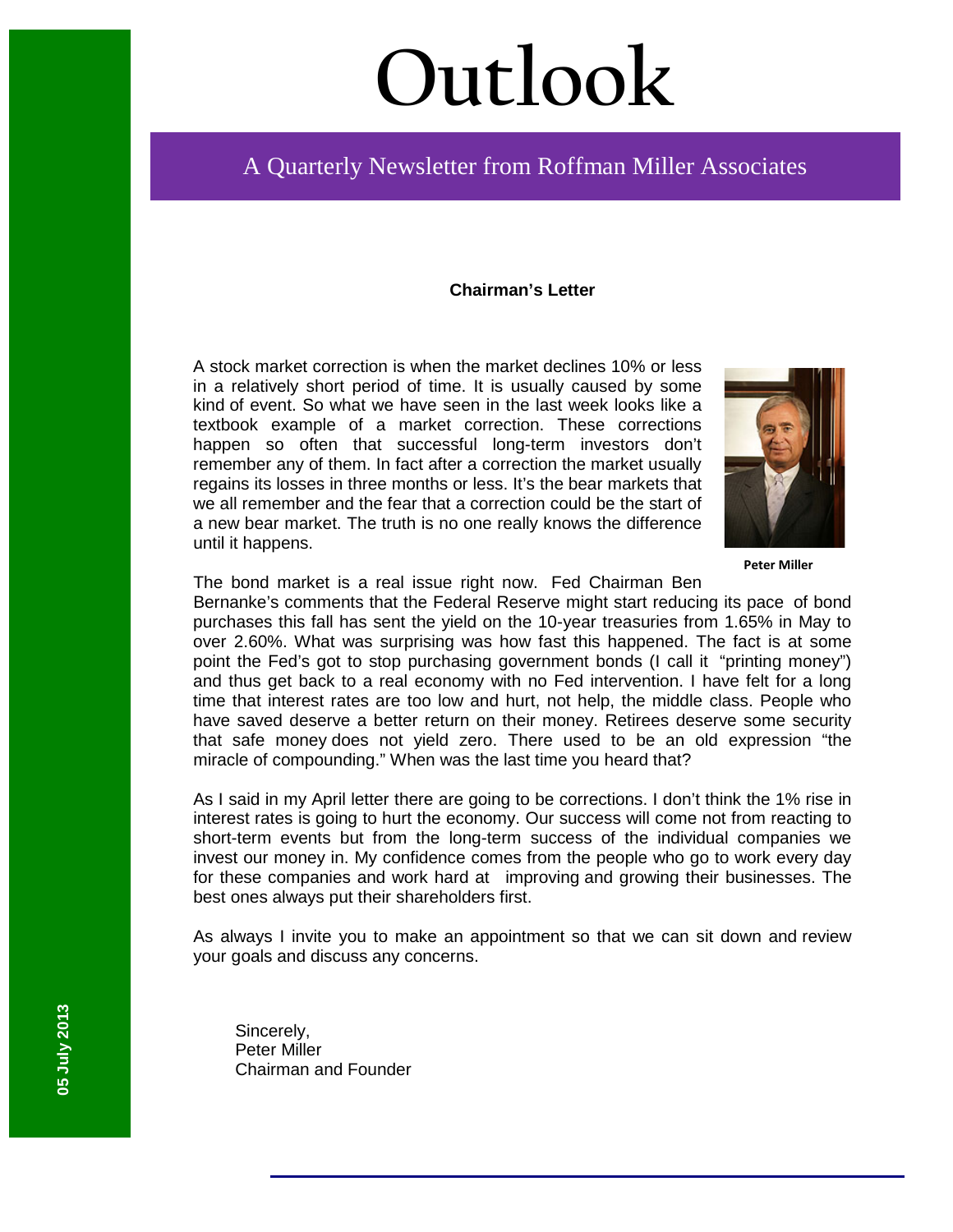# **Outlook**

## A Quarterly Newsletter from Roffman Miller Associates

#### **Chairman's Letter**

A stock market correction is when the market declines 10% or less in a relatively short period of time. It is usually caused by some kind of event. So what we have seen in the last week looks like a textbook example of a market correction. These corrections happen so often that successful long-term investors don't remember any of them. In fact after a correction the market usually regains its losses in three months or less. It's the bear markets that we all remember and the fear that a correction could be the start of a new bear market. The truth is no one really knows the difference until it happens.



**Peter Miller**

The bond market is a real issue right now. Fed Chairman Ben

Bernanke's comments that the Federal Reserve might start reducing its pace of bond purchases this fall has sent the yield on the 10-year treasuries from 1.65% in May to over 2.60%. What was surprising was how fast this happened. The fact is at some point the Fed's got to stop purchasing government bonds (I call it "printing money") and thus get back to a real economy with no Fed intervention. I have felt for a long time that interest rates are too low and hurt, not help, the middle class. People who have saved deserve a better return on their money. Retirees deserve some security that safe money does not yield zero. There used to be an old expression "the miracle of compounding." When was the last time you heard that?

As I said in my April letter there are going to be corrections. I don't think the 1% rise in interest rates is going to hurt the economy. Our success will come not from reacting to short-term events but from the long-term success of the individual companies we invest our money in. My confidence comes from the people who go to work every day for these companies and work hard at improving and growing their businesses. The best ones always put their shareholders first.

As always I invite you to make an appointment so that we can sit down and review your goals and discuss any concerns.

Sincerely, Peter Miller Chairman and Founder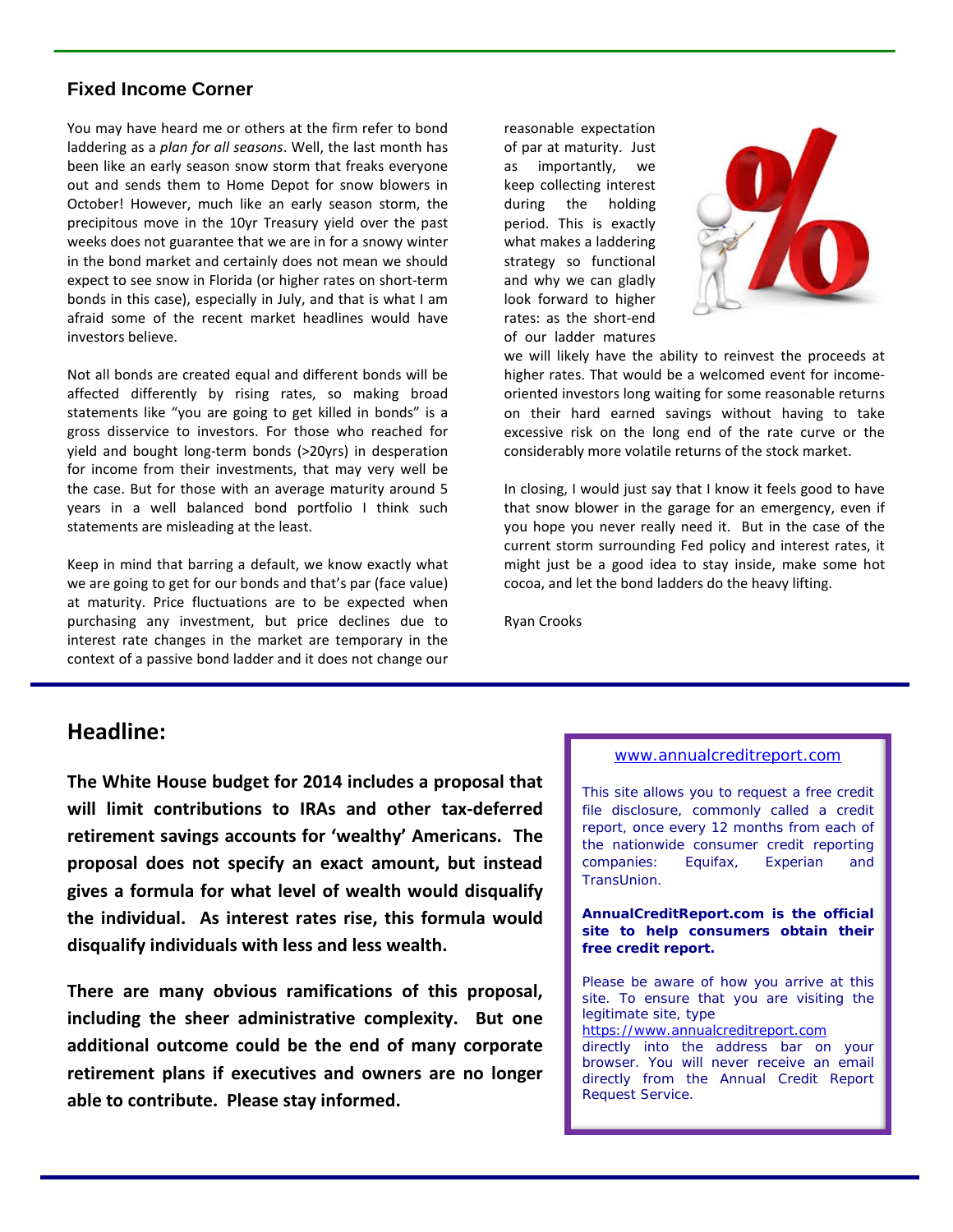#### **Fixed Income Corner**

You may have heard me or others at the firm refer to bond laddering as a *plan for all seasons*. Well, the last month has been like an early season snow storm that freaks everyone out and sends them to Home Depot for snow blowers in October! However, much like an early season storm, the precipitous move in the 10yr Treasury yield over the past weeks does not guarantee that we are in for a snowy winter in the bond market and certainly does not mean we should expect to see snow in Florida (or higher rates on short-term bonds in this case), especially in July, and that is what I am afraid some of the recent market headlines would have investors believe.

Not all bonds are created equal and different bonds will be affected differently by rising rates, so making broad statements like "you are going to get killed in bonds" is a gross disservice to investors. For those who reached for yield and bought long-term bonds (>20yrs) in desperation for income from their investments, that may very well be the case. But for those with an average maturity around 5 years in a well balanced bond portfolio I think such statements are misleading at the least.

Keep in mind that barring a default, we know exactly what we are going to get for our bonds and that's par (face value) at maturity. Price fluctuations are to be expected when purchasing any investment, but price declines due to interest rate changes in the market are temporary in the context of a passive bond ladder and it does not change our

reasonable expectation of par at maturity. Just as importantly, we keep collecting interest during the holding period. This is exactly what makes a laddering strategy so functional and why we can gladly look forward to higher rates: as the short-end of our ladder matures



we will likely have the ability to reinvest the proceeds at higher rates. That would be a welcomed event for incomeoriented investors long waiting for some reasonable returns on their hard earned savings without having to take excessive risk on the long end of the rate curve or the considerably more volatile returns of the stock market.

In closing, I would just say that I know it feels good to have that snow blower in the garage for an emergency, even if you hope you never really need it. But in the case of the current storm surrounding Fed policy and interest rates, it might just be a good idea to stay inside, make some hot cocoa, and let the bond ladders do the heavy lifting.

Ryan Crooks

### **Headline:**

**The White House budget for 2014 includes a proposal that will limit contributions to IRAs and other tax-deferred retirement savings accounts for 'wealthy' Americans. The proposal does not specify an exact amount, but instead gives a formula for what level of wealth would disqualify the individual. As interest rates rise, this formula would disqualify individuals with less and less wealth.** 

**There are many obvious ramifications of this proposal, including the sheer administrative complexity. But one additional outcome could be the end of many corporate retirement plans if executives and owners are no longer able to contribute. Please stay informed.**

#### [www.annualcreditreport.com](http://www.annualcreditreport.com/)

This site allows you to request a free [credit](https://www.annualcreditreport.com/cra/helpfaq#creditfile)  [file disclosure,](https://www.annualcreditreport.com/cra/helpfaq#creditfile) commonly called a credit report, once every 12 months from each of the nationwide consumer credit reporting companies: Equifax, Experian and TransUnion.

**AnnualCreditReport.com is the official site to help consumers obtain their free credit report.**

Please be aware of how you arrive at this site. To ensure that you are visiting the legitimate site, type

[https://www.annualcreditreport.com](https://www.annualcreditreport.com/)

directly into the address bar on your browser. You will never receive an email directly from the Annual Credit Report Request Service.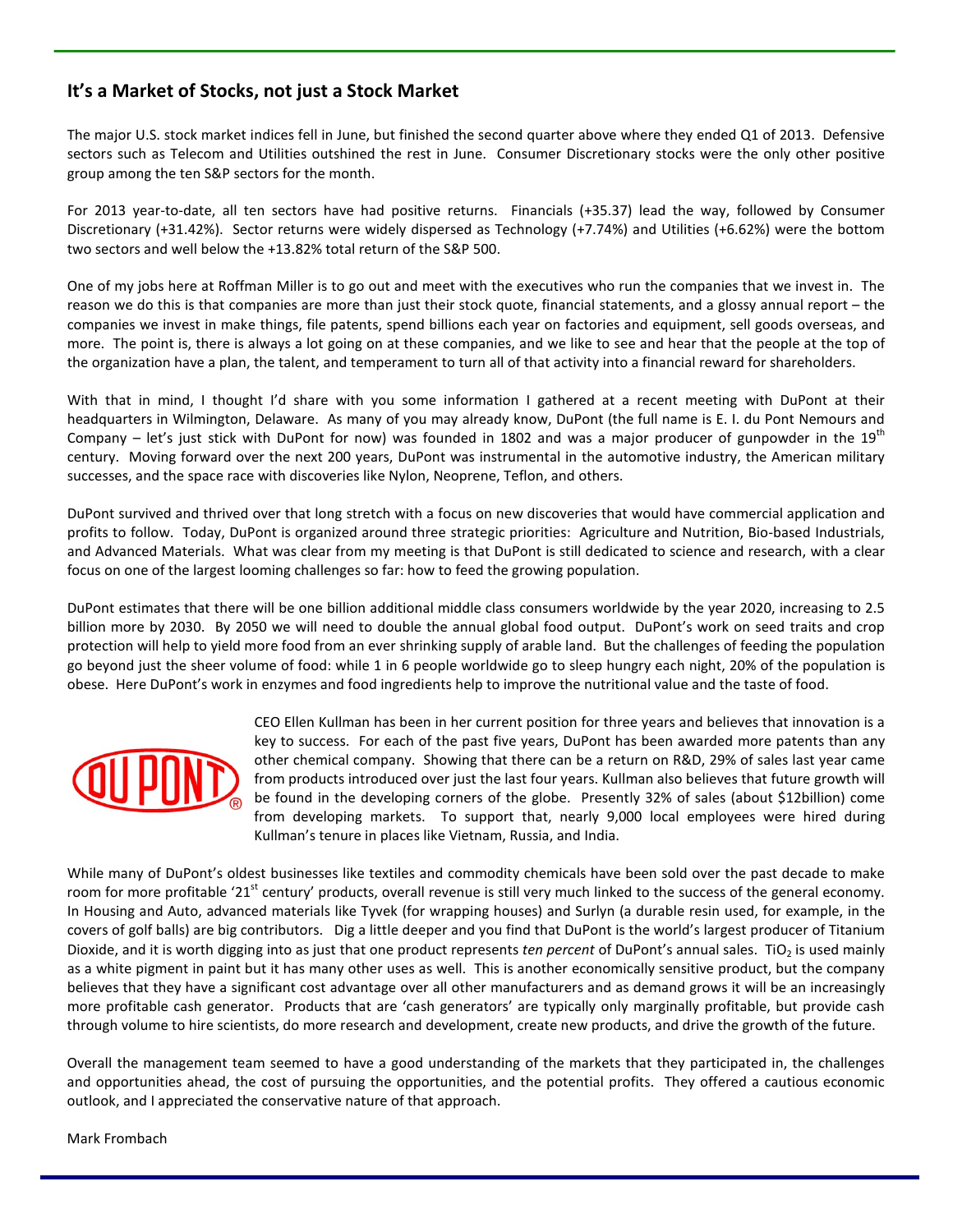#### **It's a Market of Stocks, not just a Stock Market**

The major U.S. stock market indices fell in June, but finished the second quarter above where they ended Q1 of 2013. Defensive sectors such as Telecom and Utilities outshined the rest in June. Consumer Discretionary stocks were the only other positive group among the ten S&P sectors for the month.

For 2013 year-to-date, all ten sectors have had positive returns. Financials (+35.37) lead the way, followed by Consumer Discretionary (+31.42%). Sector returns were widely dispersed as Technology (+7.74%) and Utilities (+6.62%) were the bottom two sectors and well below the +13.82% total return of the S&P 500.

One of my jobs here at Roffman Miller is to go out and meet with the executives who run the companies that we invest in. The reason we do this is that companies are more than just their stock quote, financial statements, and a glossy annual report – the companies we invest in make things, file patents, spend billions each year on factories and equipment, sell goods overseas, and more. The point is, there is always a lot going on at these companies, and we like to see and hear that the people at the top of the organization have a plan, the talent, and temperament to turn all of that activity into a financial reward for shareholders.

With that in mind, I thought I'd share with you some information I gathered at a recent meeting with DuPont at their headquarters in Wilmington, Delaware. As many of you may already know, DuPont (the full name is E. I. du Pont Nemours and Company – let's just stick with DuPont for now) was founded in 1802 and was a major producer of gunpowder in the  $19<sup>th</sup>$ century. Moving forward over the next 200 years, DuPont was instrumental in the automotive industry, the American military successes, and the space race with discoveries like Nylon, Neoprene, Teflon, and others.

DuPont survived and thrived over that long stretch with a focus on new discoveries that would have commercial application and profits to follow. Today, DuPont is organized around three strategic priorities: Agriculture and Nutrition, Bio-based Industrials, and Advanced Materials. What was clear from my meeting is that DuPont is still dedicated to science and research, with a clear focus on one of the largest looming challenges so far: how to feed the growing population.

DuPont estimates that there will be one billion additional middle class consumers worldwide by the year 2020, increasing to 2.5 billion more by 2030. By 2050 we will need to double the annual global food output. DuPont's work on seed traits and crop protection will help to yield more food from an ever shrinking supply of arable land. But the challenges of feeding the population go beyond just the sheer volume of food: while 1 in 6 people worldwide go to sleep hungry each night, 20% of the population is obese. Here DuPont's work in enzymes and food ingredients help to improve the nutritional value and the taste of food.



CEO Ellen Kullman has been in her current position for three years and believes that innovation is a key to success. For each of the past five years, DuPont has been awarded more patents than any other chemical company. Showing that there can be a return on R&D, 29% of sales last year came from products introduced over just the last four years. Kullman also believes that future growth will be found in the developing corners of the globe. Presently 32% of sales (about \$12billion) come from developing markets. To support that, nearly 9,000 local employees were hired during Kullman's tenure in places like Vietnam, Russia, and India.

While many of DuPont's oldest businesses like textiles and commodity chemicals have been sold over the past decade to make room for more profitable '21<sup>st</sup> century' products, overall revenue is still very much linked to the success of the general economy. In Housing and Auto, advanced materials like Tyvek (for wrapping houses) and Surlyn (a durable resin used, for example, in the covers of golf balls) are big contributors. Dig a little deeper and you find that DuPont is the world's largest producer of Titanium Dioxide, and it is worth digging into as just that one product represents *ten percent* of DuPont's annual sales. TiO<sub>2</sub> is used mainly as a white pigment in paint but it has many other uses as well. This is another economically sensitive product, but the company believes that they have a significant cost advantage over all other manufacturers and as demand grows it will be an increasingly more profitable cash generator. Products that are 'cash generators' are typically only marginally profitable, but provide cash through volume to hire scientists, do more research and development, create new products, and drive the growth of the future.

Overall the management team seemed to have a good understanding of the markets that they participated in, the challenges and opportunities ahead, the cost of pursuing the opportunities, and the potential profits. They offered a cautious economic outlook, and I appreciated the conservative nature of that approach.

Mark Frombach